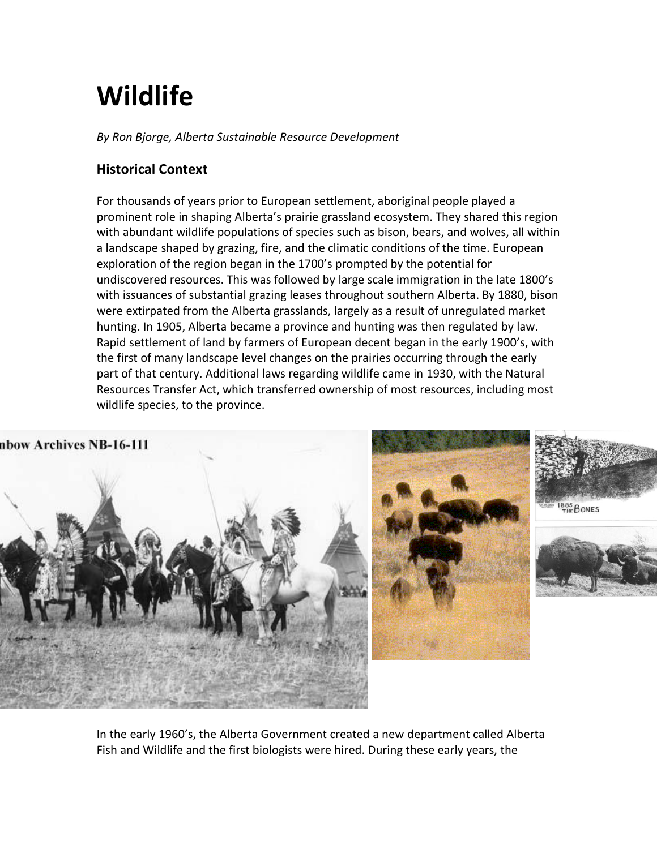# **Wildlife**

*By Ron Bjorge, Alberta Sustainable Resource Development*

## **Historical Context**

For thousands of years prior to European settlement, aboriginal people played a prominent role in shaping Alberta's prairie grassland ecosystem. They shared this region with abundant wildlife populations of species such as bison, bears, and wolves, all within a landscape shaped by grazing, fire, and the climatic conditions of the time. European exploration of the region began in the 1700's prompted by the potential for undiscovered resources. This was followed by large scale immigration in the late 1800's with issuances of substantial grazing leases throughout southern Alberta. By 1880, bison were extirpated from the Alberta grasslands, largely as a result of unregulated market hunting. In 1905, Alberta became a province and hunting was then regulated by law. Rapid settlement of land by farmers of European decent began in the early 1900's, with the first of many landscape level changes on the prairies occurring through the early part of that century. Additional laws regarding wildlife came in 1930, with the Natural Resources Transfer Act, which transferred ownership of most resources, including most wildlife species, to the province.

nbow Archives NB-16-111







In the early 1960's, the Alberta Government created a new department called Alberta Fish and Wildlife and the first biologists were hired. During these early years, the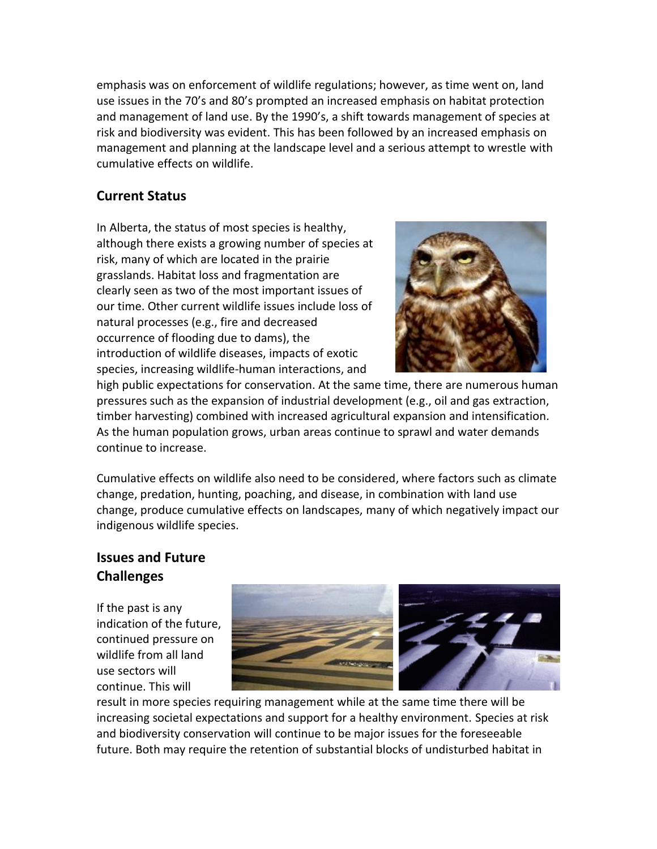emphasis was on enforcement of wildlife regulations; however, as time went on, land use issues in the 70's and 80's prompted an increased emphasis on habitat protection and management of land use. By the 1990's, a shift towards management of species at risk and biodiversity was evident. This has been followed by an increased emphasis on management and planning at the landscape level and a serious attempt to wrestle with cumulative effects on wildlife.

### **Current Status**

In Alberta, the status of most species is healthy, although there exists a growing number of species at risk, many of which are located in the prairie grasslands. Habitat loss and fragmentation are clearly seen as two of the most important issues of our time. Other current wildlife issues include loss of natural processes (e.g., fire and decreased occurrence of flooding due to dams), the introduction of wildlife diseases, impacts of exotic species, increasing wildlife-human interactions, and



high public expectations for conservation. At the same time, there are numerous human pressures such as the expansion of industrial development (e.g., oil and gas extraction, timber harvesting) combined with increased agricultural expansion and intensification. As the human population grows, urban areas continue to sprawl and water demands continue to increase.

Cumulative effects on wildlife also need to be considered, where factors such as climate change, predation, hunting, poaching, and disease, in combination with land use change, produce cumulative effects on landscapes, many of which negatively impact our indigenous wildlife species.

#### **Issues and Future Challenges**

If the past is any indication of the future, continued pressure on wildlife from all land use sectors will continue. This will



result in more species requiring management while at the same time there will be increasing societal expectations and support for a healthy environment. Species at risk and biodiversity conservation will continue to be major issues for the foreseeable future. Both may require the retention of substantial blocks of undisturbed habitat in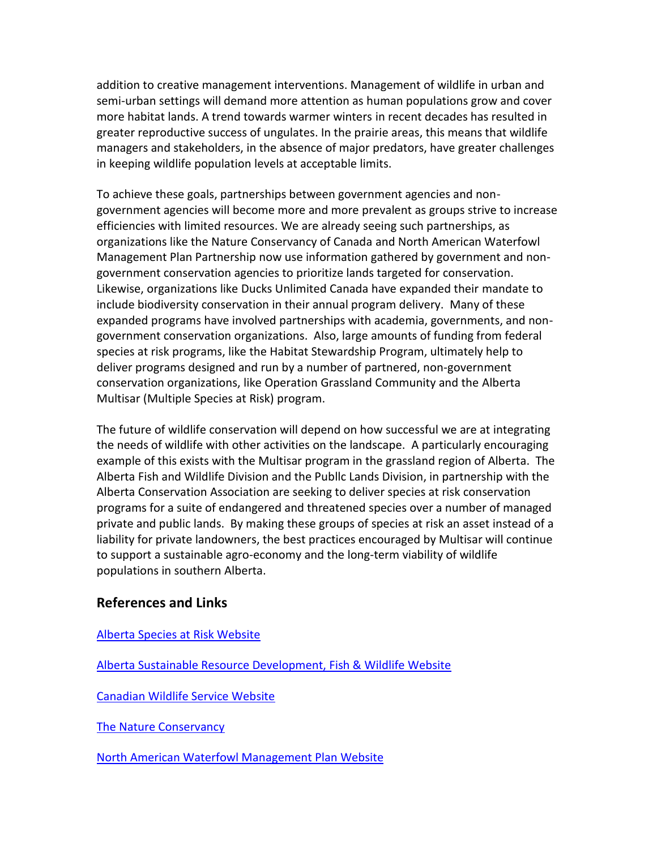addition to creative management interventions. Management of wildlife in urban and semi-urban settings will demand more attention as human populations grow and cover more habitat lands. A trend towards warmer winters in recent decades has resulted in greater reproductive success of ungulates. In the prairie areas, this means that wildlife managers and stakeholders, in the absence of major predators, have greater challenges in keeping wildlife population levels at acceptable limits.

To achieve these goals, partnerships between government agencies and nongovernment agencies will become more and more prevalent as groups strive to increase efficiencies with limited resources. We are already seeing such partnerships, as organizations like the Nature Conservancy of Canada and North American Waterfowl Management Plan Partnership now use information gathered by government and nongovernment conservation agencies to prioritize lands targeted for conservation. Likewise, organizations like Ducks Unlimited Canada have expanded their mandate to include biodiversity conservation in their annual program delivery. Many of these expanded programs have involved partnerships with academia, governments, and nongovernment conservation organizations. Also, large amounts of funding from federal species at risk programs, like the Habitat Stewardship Program, ultimately help to deliver programs designed and run by a number of partnered, non-government conservation organizations, like Operation Grassland Community and the Alberta Multisar (Multiple Species at Risk) program.

The future of wildlife conservation will depend on how successful we are at integrating the needs of wildlife with other activities on the landscape. A particularly encouraging example of this exists with the Multisar program in the grassland region of Alberta. The Alberta Fish and Wildlife Division and the Publlc Lands Division, in partnership with the Alberta Conservation Association are seeking to deliver species at risk conservation programs for a suite of endangered and threatened species over a number of managed private and public lands. By making these groups of species at risk an asset instead of a liability for private landowners, the best practices encouraged by Multisar will continue to support a sustainable agro-economy and the long-term viability of wildlife populations in southern Alberta.

#### **References and Links**

[Alberta Species at Risk Website](http://www3.gov.ab.ca/srd/fw/riskspecies/)

[Alberta Sustainable Resource Development, Fish & Wildlife Website](http://www3.gov.ab.ca/srd/fw/index.html)

[Canadian Wildlife Service Website](http://www.cws-scf.ec.gc.ca/index_e.cfm)

[The Nature Conservancy](http://nature.org/?source=overture_nature_conservancy)

[North American Waterfowl Management Plan Website](http://www.nawmp.ca/eng/index_e.html)